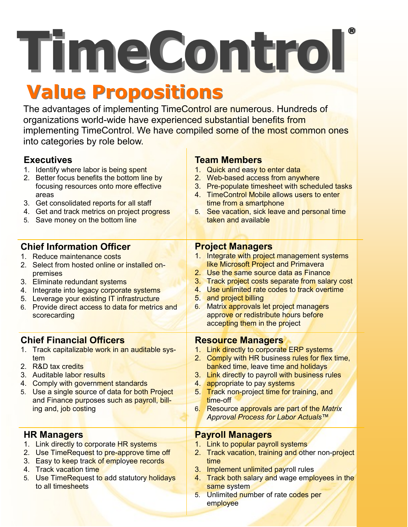**TimeControl**®

# **Value Propositions**

The advantages of implementing TimeControl are numerous. Hundreds of organizations world-wide have experienced substantial benefits from implementing TimeControl. We have compiled some of the most common ones into categories by role below.

**Team Members**

### **Executives**

|                                 | 1. Identify where labor is being spent<br>2. Better focus benefits the bottom line by<br>focusing resources onto more effective<br>areas<br>3. Get consolidated reports for all staff<br>4. Get and track metrics on project progress<br>5. Save money on the bottom line | 3.<br>$4_{-}$<br>5. | 1. Quick and easy to enter data<br>2. Web-based access from anywhere<br>Pre-populate timesheet with scheduled tasks<br><b>TimeControl Mobile allows users to enter</b><br>time from a smartphone<br>See vacation, sick leave and personal time<br>taken and available |
|---------------------------------|---------------------------------------------------------------------------------------------------------------------------------------------------------------------------------------------------------------------------------------------------------------------------|---------------------|-----------------------------------------------------------------------------------------------------------------------------------------------------------------------------------------------------------------------------------------------------------------------|
|                                 | <b>Chief Information Officer</b>                                                                                                                                                                                                                                          |                     | <b>Project Managers</b>                                                                                                                                                                                                                                               |
| 2.                              | 1. Reduce maintenance costs<br>Select from hosted online or installed on-                                                                                                                                                                                                 |                     | 1. Integrate with project management systems<br>like Microsoft Project and Primavera                                                                                                                                                                                  |
|                                 | premises                                                                                                                                                                                                                                                                  |                     | 2. Use the same source data as Finance                                                                                                                                                                                                                                |
|                                 | 3. Eliminate redundant systems                                                                                                                                                                                                                                            |                     | 3. Track project costs separate from salary cost                                                                                                                                                                                                                      |
|                                 | 4. Integrate into legacy corporate systems                                                                                                                                                                                                                                | 4.                  | Use unlimited rate codes to track overtime                                                                                                                                                                                                                            |
|                                 | 5. Leverage your existing IT infrastructure                                                                                                                                                                                                                               | 5 <sub>1</sub>      | and project billing                                                                                                                                                                                                                                                   |
|                                 | 6. Provide direct access to data for metrics and                                                                                                                                                                                                                          | 6.                  | Matrix approvals let project managers                                                                                                                                                                                                                                 |
|                                 | scorecarding                                                                                                                                                                                                                                                              |                     | approve or redistribute hours before                                                                                                                                                                                                                                  |
|                                 |                                                                                                                                                                                                                                                                           |                     | accepting them in the project                                                                                                                                                                                                                                         |
| <b>Chief Financial Officers</b> |                                                                                                                                                                                                                                                                           |                     | <b>Resource Managers</b>                                                                                                                                                                                                                                              |
|                                 | 1. Track capitalizable work in an auditable sys-                                                                                                                                                                                                                          |                     | 1. Link directly to corporate ERP systems                                                                                                                                                                                                                             |
|                                 | tem                                                                                                                                                                                                                                                                       |                     | 2. Comply with HR business rules for flex time,                                                                                                                                                                                                                       |
|                                 | 2. R&D tax credits                                                                                                                                                                                                                                                        |                     | banked time, leave time and holidays                                                                                                                                                                                                                                  |
|                                 | 3. Auditable labor results<br>4. Comply with government standards                                                                                                                                                                                                         | 4.                  | 3. Link directly to payroll with business rules<br>appropriate to pay systems                                                                                                                                                                                         |
|                                 |                                                                                                                                                                                                                                                                           | 5.                  | Track non-project time for training, and                                                                                                                                                                                                                              |
|                                 |                                                                                                                                                                                                                                                                           |                     |                                                                                                                                                                                                                                                                       |
|                                 | 5. Use a single source of data for both Project                                                                                                                                                                                                                           |                     | time-off                                                                                                                                                                                                                                                              |
|                                 | and Finance purposes such as payroll, bill-<br>ing and, job costing                                                                                                                                                                                                       |                     | 6. Resource approvals are part of the Matrix                                                                                                                                                                                                                          |
|                                 |                                                                                                                                                                                                                                                                           |                     | Approval Process for Labor Actuals™                                                                                                                                                                                                                                   |
|                                 |                                                                                                                                                                                                                                                                           |                     |                                                                                                                                                                                                                                                                       |
|                                 | <b>HR Managers</b>                                                                                                                                                                                                                                                        |                     | <b>Payroll Managers</b>                                                                                                                                                                                                                                               |
|                                 | 1. Link directly to corporate HR systems                                                                                                                                                                                                                                  |                     | 1. Link to popular payroll systems                                                                                                                                                                                                                                    |
| 3.                              | 2. Use TimeRequest to pre-approve time off<br>Easy to keep track of employee records                                                                                                                                                                                      |                     | 2. Track vacation, training and other non-project<br>time                                                                                                                                                                                                             |
|                                 | 4. Track vacation time<br>Use TimeRequest to add statutory holidays                                                                                                                                                                                                       |                     | 3. Implement unlimited payroll rules<br>4. Track both salary and wage employees in the                                                                                                                                                                                |

- 5. Use TimeRequest to add statutory holidays to all timesheets
- same system 5. Unlimited number of rate codes per employee